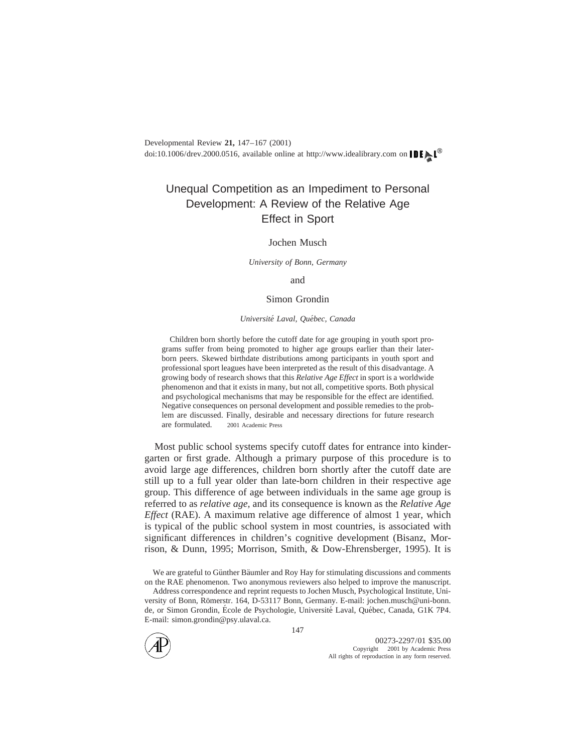# Unequal Competition as an Impediment to Personal Development: A Review of the Relative Age Effect in Sport

### Jochen Musch

#### *University of Bonn, Germany*

#### and

### Simon Grondin

#### *Universite´ Laval, Que´bec, Canada*

Children born shortly before the cutoff date for age grouping in youth sport programs suffer from being promoted to higher age groups earlier than their laterborn peers. Skewed birthdate distributions among participants in youth sport and professional sport leagues have been interpreted as the result of this disadvantage. A growing body of research shows that this *Relative Age Effect* in sport is a worldwide phenomenon and that it exists in many, but not all, competitive sports. Both physical and psychological mechanisms that may be responsible for the effect are identified. Negative consequences on personal development and possible remedies to the problem are discussed. Finally, desirable and necessary directions for future research are formulated.  $\circ$  2001 Academic Press

Most public school systems specify cutoff dates for entrance into kindergarten or first grade. Although a primary purpose of this procedure is to avoid large age differences, children born shortly after the cutoff date are still up to a full year older than late-born children in their respective age group. This difference of age between individuals in the same age group is referred to as *relative age,* and its consequence is known as the *Relative Age Effect* (RAE). A maximum relative age difference of almost 1 year, which is typical of the public school system in most countries, is associated with significant differences in children's cognitive development (Bisanz, Morrison, & Dunn, 1995; Morrison, Smith, & Dow-Ehrensberger, 1995). It is

We are grateful to Günther Bäumler and Roy Hay for stimulating discussions and comments on the RAE phenomenon. Two anonymous reviewers also helped to improve the manuscript.

Address correspondence and reprint requests to Jochen Musch, Psychological Institute, University of Bonn, Römerstr. 164, D-53117 Bonn, Germany. E-mail: jochen.musch@uni-bonn. de, or Simon Grondin, École de Psychologie, Université Laval, Québec, Canada, G1K 7P4. E-mail: simon.grondin@psy.ulaval.ca.

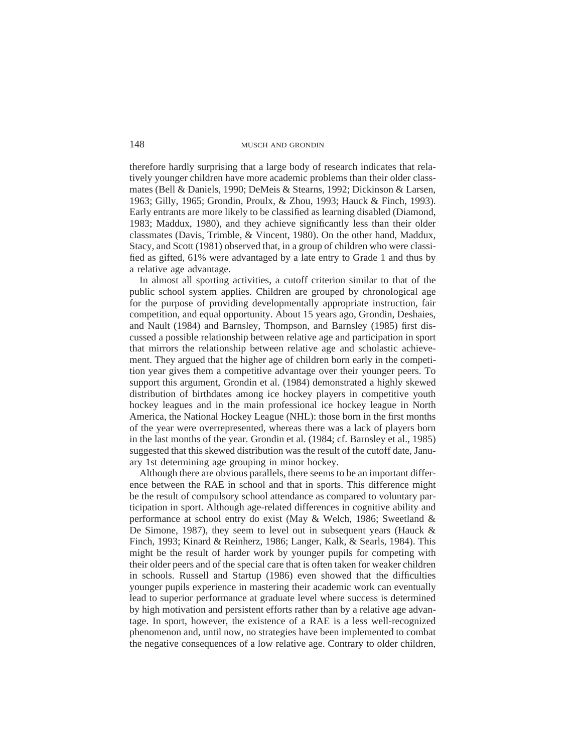therefore hardly surprising that a large body of research indicates that relatively younger children have more academic problems than their older classmates (Bell & Daniels, 1990; DeMeis & Stearns, 1992; Dickinson & Larsen, 1963; Gilly, 1965; Grondin, Proulx, & Zhou, 1993; Hauck & Finch, 1993). Early entrants are more likely to be classified as learning disabled (Diamond, 1983; Maddux, 1980), and they achieve significantly less than their older classmates (Davis, Trimble, & Vincent, 1980). On the other hand, Maddux, Stacy, and Scott (1981) observed that, in a group of children who were classified as gifted, 61% were advantaged by a late entry to Grade 1 and thus by a relative age advantage.

In almost all sporting activities, a cutoff criterion similar to that of the public school system applies. Children are grouped by chronological age for the purpose of providing developmentally appropriate instruction, fair competition, and equal opportunity. About 15 years ago, Grondin, Deshaies, and Nault (1984) and Barnsley, Thompson, and Barnsley (1985) first discussed a possible relationship between relative age and participation in sport that mirrors the relationship between relative age and scholastic achievement. They argued that the higher age of children born early in the competition year gives them a competitive advantage over their younger peers. To support this argument, Grondin et al. (1984) demonstrated a highly skewed distribution of birthdates among ice hockey players in competitive youth hockey leagues and in the main professional ice hockey league in North America, the National Hockey League (NHL): those born in the first months of the year were overrepresented, whereas there was a lack of players born in the last months of the year. Grondin et al. (1984; cf. Barnsley et al., 1985) suggested that this skewed distribution was the result of the cutoff date, January 1st determining age grouping in minor hockey.

Although there are obvious parallels, there seems to be an important difference between the RAE in school and that in sports. This difference might be the result of compulsory school attendance as compared to voluntary participation in sport. Although age-related differences in cognitive ability and performance at school entry do exist (May & Welch, 1986; Sweetland & De Simone, 1987), they seem to level out in subsequent years (Hauck & Finch, 1993; Kinard & Reinherz, 1986; Langer, Kalk, & Searls, 1984). This might be the result of harder work by younger pupils for competing with their older peers and of the special care that is often taken for weaker children in schools. Russell and Startup (1986) even showed that the difficulties younger pupils experience in mastering their academic work can eventually lead to superior performance at graduate level where success is determined by high motivation and persistent efforts rather than by a relative age advantage. In sport, however, the existence of a RAE is a less well-recognized phenomenon and, until now, no strategies have been implemented to combat the negative consequences of a low relative age. Contrary to older children,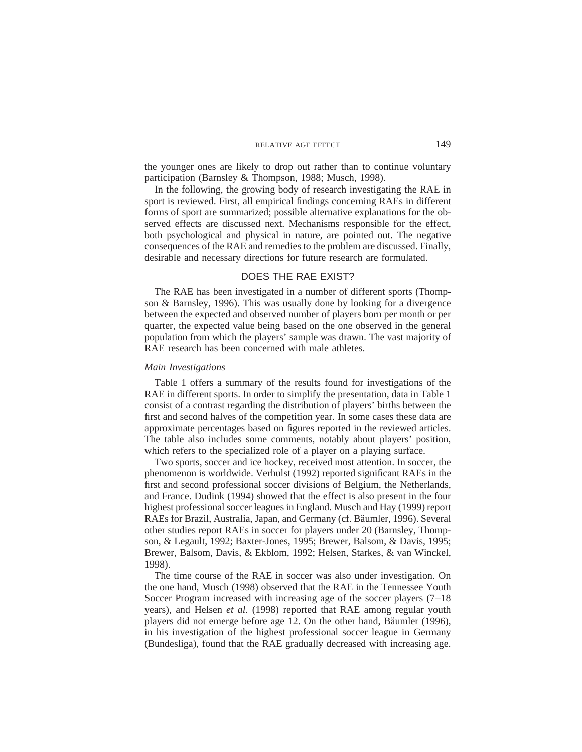the younger ones are likely to drop out rather than to continue voluntary participation (Barnsley & Thompson, 1988; Musch, 1998).

In the following, the growing body of research investigating the RAE in sport is reviewed. First, all empirical findings concerning RAEs in different forms of sport are summarized; possible alternative explanations for the observed effects are discussed next. Mechanisms responsible for the effect, both psychological and physical in nature, are pointed out. The negative consequences of the RAE and remedies to the problem are discussed. Finally, desirable and necessary directions for future research are formulated.

# DOES THE RAE EXIST?

The RAE has been investigated in a number of different sports (Thompson & Barnsley, 1996). This was usually done by looking for a divergence between the expected and observed number of players born per month or per quarter, the expected value being based on the one observed in the general population from which the players' sample was drawn. The vast majority of RAE research has been concerned with male athletes.

### *Main Investigations*

Table 1 offers a summary of the results found for investigations of the RAE in different sports. In order to simplify the presentation, data in Table 1 consist of a contrast regarding the distribution of players' births between the first and second halves of the competition year. In some cases these data are approximate percentages based on figures reported in the reviewed articles. The table also includes some comments, notably about players' position, which refers to the specialized role of a player on a playing surface.

Two sports, soccer and ice hockey, received most attention. In soccer, the phenomenon is worldwide. Verhulst (1992) reported significant RAEs in the first and second professional soccer divisions of Belgium, the Netherlands, and France. Dudink (1994) showed that the effect is also present in the four highest professional soccer leagues in England. Musch and Hay (1999) report RAEs for Brazil, Australia, Japan, and Germany (cf. Bäumler, 1996). Several other studies report RAEs in soccer for players under 20 (Barnsley, Thompson, & Legault, 1992; Baxter-Jones, 1995; Brewer, Balsom, & Davis, 1995; Brewer, Balsom, Davis, & Ekblom, 1992; Helsen, Starkes, & van Winckel, 1998).

The time course of the RAE in soccer was also under investigation. On the one hand, Musch (1998) observed that the RAE in the Tennessee Youth Soccer Program increased with increasing age of the soccer players (7–18 years), and Helsen *et al.* (1998) reported that RAE among regular youth players did not emerge before age 12. On the other hand, Bäumler (1996), in his investigation of the highest professional soccer league in Germany (Bundesliga), found that the RAE gradually decreased with increasing age.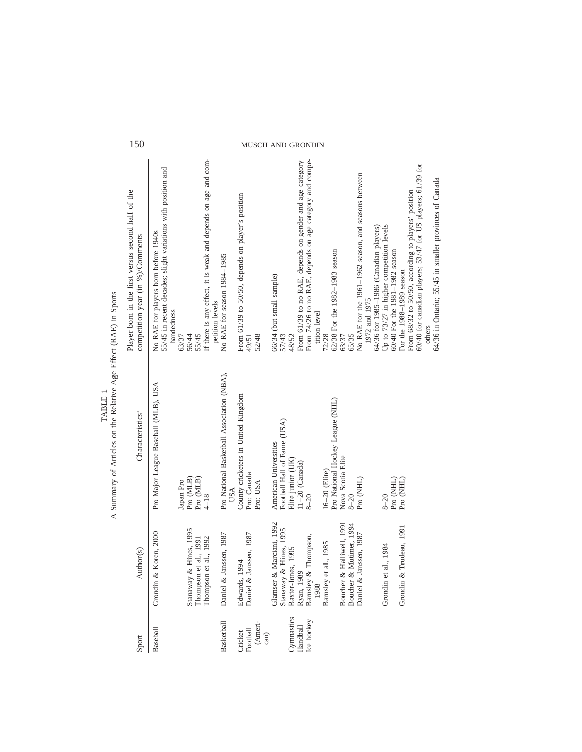| Sport                                  | Author(s)                                                | Characteristics <sup>a</sup>                                   | Player born in the first versus second half of the<br>competition year (in %)/Comments                                                         |
|----------------------------------------|----------------------------------------------------------|----------------------------------------------------------------|------------------------------------------------------------------------------------------------------------------------------------------------|
| Baseball                               | Grondin & Koren, 2000                                    | Pro Major League Baseball (MLB), USA<br>Japan Pro              | 55/45 in recent decades; slight variations with position and<br>No RAE for players born before 1940s<br>handedness<br>63/37                    |
|                                        | Stanaway & Hines, 1995<br>Thompson et al., 1991          | Pro (MLB)<br>Pro (MLB)                                         | 55/45<br>56/44                                                                                                                                 |
| <b>Basketball</b>                      | Daniel & Janssen, 1987<br>Thompson et al., 1992          | Pro National Basketball Association (NBA),<br>USA<br>$4 - 18$  | If there is any effect, it is weak and depends on age and com-<br>No RAE for season 1984-1985<br>petition levels                               |
| (Ameri-<br>Football<br>Cricket<br>can) | Daniel & Janssen, 1987<br>Edwards, 1994                  | County cricketers in United Kingdom<br>Pro: Canada<br>Pro: USA | From 61/39 to 50/50, depends on player's position<br>52/48<br>49/51                                                                            |
|                                        | Glamser & Marciani, 1992<br>Stanaway & Hines, 1995       | Football Hall of Fame (USA)<br>American Universities           | 56/34 (but small sample)<br>57/43                                                                                                              |
| Gymnastics<br>Ice hockey<br>Handball   | Barnsley & Thompson,<br>Baxter-Jones, 1995<br>Ryan, 1989 | Elite junior (UK)<br>$11-20$ (Canada)<br>$8 - 20$              | From 61/39 to no RAE, depends on gender and age category<br>From 74/26 to no RAE, depends on age category and compe-<br>48/52                  |
|                                        | Barnsley et al., 1985<br>1988                            | Pro National Hockey League (NHL)<br>$16-20$ (Elite)            | 62/38 For the 1982-1983 season<br>tition level<br>72/28                                                                                        |
|                                        | Boucher & Halliwell, 1991<br>Boucher & Mutimer, 1994     | Nova Scotia Elite<br>$8 - 20$                                  | 65/35<br>63/37                                                                                                                                 |
|                                        | Daniel & Janssen, 1987                                   | Pro (NHL)                                                      | No RAE for the 1961-1962 season, and seasons between<br>64/36 for 1985-1986 (Canadian players)<br>1972 and 1975                                |
|                                        | Grondin et al., 1984                                     | Pro (NHL)<br>$8 - 20$                                          | Up to 73/27 in higher competition levels<br>60/40 For the 1981-1982 season                                                                     |
|                                        | Grondin & Trudeau, 1991                                  | Pro (NHL)                                                      | 60/40 for canadian players; 53/47 for US players; 61/39 for<br>From 68/32 to 50/50, according to players' position<br>For the 1988-1989 season |
|                                        |                                                          |                                                                | 64/36 in Ontario; 55/45 in smaller provinces of Canada<br>others                                                                               |

 $\mbox{TABLE 1} \label{eq:tab:1}$  A Summary of Articles on the Relative Age Effect (RAE) in Sports A Summary of Articles on the Relative Age Effect (RAE) in Sports TABLE 1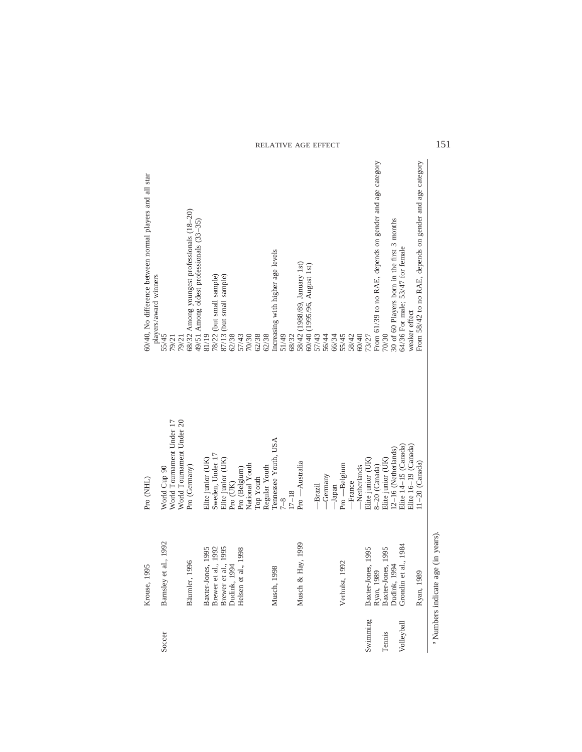|            | Krouse, 1995                       | Pro (NHL)                                                              | 60/40, No difference between normal players and all star                               |
|------------|------------------------------------|------------------------------------------------------------------------|----------------------------------------------------------------------------------------|
| Soccer     | Barnsley et al., 1992              | World Tournament Under 20<br>World Tournament Under 17<br>World Cup 90 | players/award winners<br>55/45<br>79/21<br>79/21                                       |
|            | Bäumler, 1996                      | Pro (Germany)                                                          | 68/32 Among youngest professionals (18-20)<br>49/51 Among oldest professionals (33-35) |
|            | Baxter-Jones, 1995                 | Elite junior (UK)                                                      | 81/19                                                                                  |
|            | Brewer et al., 1992                | Sweden, Under 17                                                       | 78/22 (but small sample)                                                               |
|            | Brewer et al., 1995                | Elite junior (UK)                                                      | 87/13 (but small sample)                                                               |
|            | Dudink, 1994                       | Pro (UK)                                                               | 62/38                                                                                  |
|            | Helsen et al., 1998                | Pro (Belgium)                                                          | 57/43                                                                                  |
|            |                                    | National Youth                                                         | 70/30                                                                                  |
|            |                                    | Top Youth                                                              | 62/38                                                                                  |
|            |                                    |                                                                        | 62/38                                                                                  |
|            | Musch, 1998                        | Regular Youth<br>Tennessee Youth, USA                                  | Increasing with higher age levels                                                      |
|            |                                    | $\frac{8}{1}$                                                          | 51/49                                                                                  |
|            |                                    | $17 - 18$                                                              | 68/32                                                                                  |
|            | Musch & Hay, 1999                  | Pro - Australia                                                        | 58/42 (1988/89, January 1st)                                                           |
|            |                                    |                                                                        | 60/40 (1995/96, August 1st)                                                            |
|            |                                    | $-Brazil$                                                              | 57/43                                                                                  |
|            |                                    | -Germany                                                               | 56/44                                                                                  |
|            |                                    | $-\mathbf{J}$ apan                                                     | 66/34                                                                                  |
|            | Verhulst, 1992                     | Pro - Belgium                                                          | 55/45                                                                                  |
|            |                                    | -France                                                                | 58/42                                                                                  |
|            |                                    | $-N$ etherlands                                                        | 60/40                                                                                  |
| Swimming   | Baxter-Jones, 1995                 | Elite junior (UK)                                                      | 73/27                                                                                  |
|            | Ryan, 1989                         | 8-20 (Canada)                                                          | From 61/39 to no RAE, depends on gender and age category                               |
| Tennis     | Baxter-Jones, 1995                 | Elite junior (UK)                                                      | 70/30                                                                                  |
|            | Dudink, 1994                       | 12-16 (Netherlands)                                                    | 30 of 60 Players born in the first 3 months                                            |
| Volleyball | Grondin et al., 1984               | Elite 14-15 (Canada)                                                   | 64/36 For male; 53/47 for female                                                       |
|            |                                    | Elite $16-19$ (Canada)                                                 | weaker effect                                                                          |
|            | Ryan, 1989                         | $(1-20)$ (Canada)                                                      | From 58/42 to no RAE, depends on gender and age category                               |
|            | " Numbers indicate age (in years). |                                                                        |                                                                                        |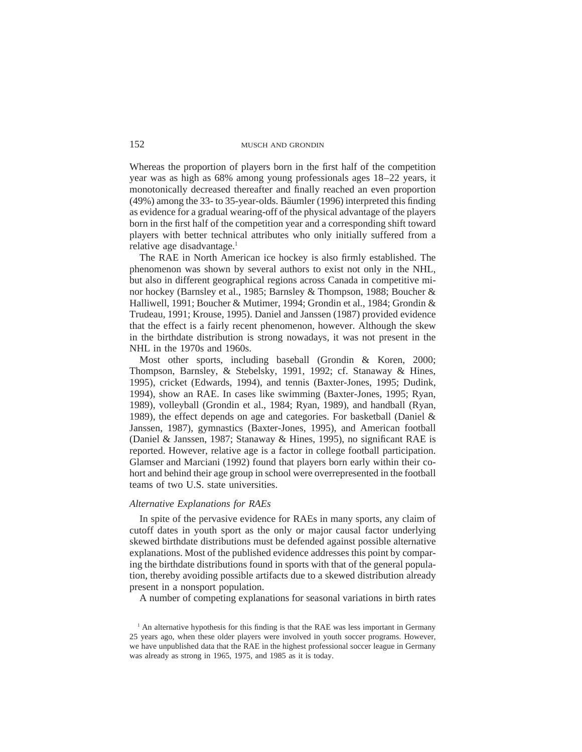Whereas the proportion of players born in the first half of the competition year was as high as 68% among young professionals ages 18–22 years, it monotonically decreased thereafter and finally reached an even proportion  $(49%)$  among the 33- to 35-year-olds. Bäumler  $(1996)$  interpreted this finding as evidence for a gradual wearing-off of the physical advantage of the players born in the first half of the competition year and a corresponding shift toward players with better technical attributes who only initially suffered from a relative age disadvantage.<sup>1</sup>

The RAE in North American ice hockey is also firmly established. The phenomenon was shown by several authors to exist not only in the NHL, but also in different geographical regions across Canada in competitive minor hockey (Barnsley et al., 1985; Barnsley & Thompson, 1988; Boucher & Halliwell, 1991; Boucher & Mutimer, 1994; Grondin et al., 1984; Grondin & Trudeau, 1991; Krouse, 1995). Daniel and Janssen (1987) provided evidence that the effect is a fairly recent phenomenon, however. Although the skew in the birthdate distribution is strong nowadays, it was not present in the NHL in the 1970s and 1960s.

Most other sports, including baseball (Grondin & Koren, 2000; Thompson, Barnsley, & Stebelsky, 1991, 1992; cf. Stanaway & Hines, 1995), cricket (Edwards, 1994), and tennis (Baxter-Jones, 1995; Dudink, 1994), show an RAE. In cases like swimming (Baxter-Jones, 1995; Ryan, 1989), volleyball (Grondin et al., 1984; Ryan, 1989), and handball (Ryan, 1989), the effect depends on age and categories. For basketball (Daniel & Janssen, 1987), gymnastics (Baxter-Jones, 1995), and American football (Daniel & Janssen, 1987; Stanaway & Hines, 1995), no significant RAE is reported. However, relative age is a factor in college football participation. Glamser and Marciani (1992) found that players born early within their cohort and behind their age group in school were overrepresented in the football teams of two U.S. state universities.

#### *Alternative Explanations for RAEs*

In spite of the pervasive evidence for RAEs in many sports, any claim of cutoff dates in youth sport as the only or major causal factor underlying skewed birthdate distributions must be defended against possible alternative explanations. Most of the published evidence addresses this point by comparing the birthdate distributions found in sports with that of the general population, thereby avoiding possible artifacts due to a skewed distribution already present in a nonsport population.

A number of competing explanations for seasonal variations in birth rates

 $<sup>1</sup>$  An alternative hypothesis for this finding is that the RAE was less important in Germany</sup> 25 years ago, when these older players were involved in youth soccer programs. However, we have unpublished data that the RAE in the highest professional soccer league in Germany was already as strong in 1965, 1975, and 1985 as it is today.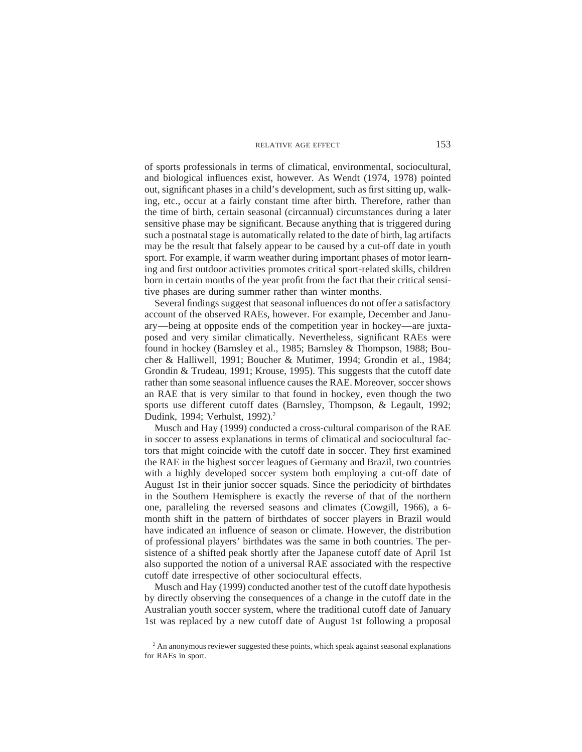of sports professionals in terms of climatical, environmental, sociocultural, and biological influences exist, however. As Wendt (1974, 1978) pointed out, significant phases in a child's development, such as first sitting up, walking, etc., occur at a fairly constant time after birth. Therefore, rather than the time of birth, certain seasonal (circannual) circumstances during a later sensitive phase may be significant. Because anything that is triggered during such a postnatal stage is automatically related to the date of birth, lag artifacts may be the result that falsely appear to be caused by a cut-off date in youth sport. For example, if warm weather during important phases of motor learning and first outdoor activities promotes critical sport-related skills, children born in certain months of the year profit from the fact that their critical sensitive phases are during summer rather than winter months.

Several findings suggest that seasonal influences do not offer a satisfactory account of the observed RAEs, however. For example, December and January—being at opposite ends of the competition year in hockey—are juxtaary-come at opposite clients of the compounding of the settlement RAEs were found in hockey (Barnsley et al., 1985; Barnsley & Thompson, 1988; Boucher & Halliwell, 1991; Boucher & Mutimer, 1994; Grondin et al., 1984; Grondin & Trudeau, 1991; Krouse, 1995). This suggests that the cutoff date rather than some seasonal influence causes the RAE. Moreover, soccer shows an RAE that is very similar to that found in hockey, even though the two sports use different cutoff dates (Barnsley, Thompson, & Legault, 1992; Dudink, 1994; Verhulst, 1992).<sup>2</sup>

Musch and Hay (1999) conducted a cross-cultural comparison of the RAE in soccer to assess explanations in terms of climatical and sociocultural factors that might coincide with the cutoff date in soccer. They first examined the RAE in the highest soccer leagues of Germany and Brazil, two countries with a highly developed soccer system both employing a cut-off date of August 1st in their junior soccer squads. Since the periodicity of birthdates in the Southern Hemisphere is exactly the reverse of that of the northern one, paralleling the reversed seasons and climates (Cowgill, 1966), a 6 month shift in the pattern of birthdates of soccer players in Brazil would have indicated an influence of season or climate. However, the distribution of professional players' birthdates was the same in both countries. The persistence of a shifted peak shortly after the Japanese cutoff date of April 1st also supported the notion of a universal RAE associated with the respective cutoff date irrespective of other sociocultural effects.

Musch and Hay (1999) conducted another test of the cutoff date hypothesis by directly observing the consequences of a change in the cutoff date in the Australian youth soccer system, where the traditional cutoff date of January 1st was replaced by a new cutoff date of August 1st following a proposal

<sup>&</sup>lt;sup>2</sup> An anonymous reviewer suggested these points, which speak against seasonal explanations for RAEs in sport.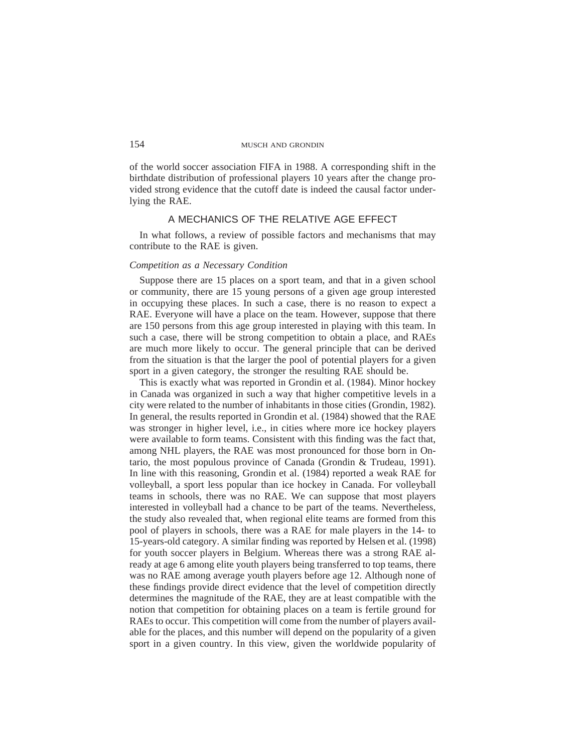of the world soccer association FIFA in 1988. A corresponding shift in the birthdate distribution of professional players 10 years after the change provided strong evidence that the cutoff date is indeed the causal factor underlying the RAE.

# A MECHANICS OF THE RELATIVE AGE EFFECT

In what follows, a review of possible factors and mechanisms that may contribute to the RAE is given.

### *Competition as a Necessary Condition*

Suppose there are 15 places on a sport team, and that in a given school or community, there are 15 young persons of a given age group interested in occupying these places. In such a case, there is no reason to expect a RAE. Everyone will have a place on the team. However, suppose that there are 150 persons from this age group interested in playing with this team. In such a case, there will be strong competition to obtain a place, and RAEs are much more likely to occur. The general principle that can be derived from the situation is that the larger the pool of potential players for a given sport in a given category, the stronger the resulting RAE should be.

This is exactly what was reported in Grondin et al. (1984). Minor hockey in Canada was organized in such a way that higher competitive levels in a city were related to the number of inhabitants in those cities (Grondin, 1982). In general, the results reported in Grondin et al. (1984) showed that the RAE was stronger in higher level, i.e., in cities where more ice hockey players were available to form teams. Consistent with this finding was the fact that, among NHL players, the RAE was most pronounced for those born in Ontario, the most populous province of Canada (Grondin & Trudeau, 1991). In line with this reasoning, Grondin et al. (1984) reported a weak RAE for volleyball, a sport less popular than ice hockey in Canada. For volleyball teams in schools, there was no RAE. We can suppose that most players interested in volleyball had a chance to be part of the teams. Nevertheless, the study also revealed that, when regional elite teams are formed from this pool of players in schools, there was a RAE for male players in the 14- to 15-years-old category. A similar finding was reported by Helsen et al. (1998) for youth soccer players in Belgium. Whereas there was a strong RAE already at age 6 among elite youth players being transferred to top teams, there was no RAE among average youth players before age 12. Although none of these findings provide direct evidence that the level of competition directly determines the magnitude of the RAE, they are at least compatible with the notion that competition for obtaining places on a team is fertile ground for RAEs to occur. This competition will come from the number of players available for the places, and this number will depend on the popularity of a given sport in a given country. In this view, given the worldwide popularity of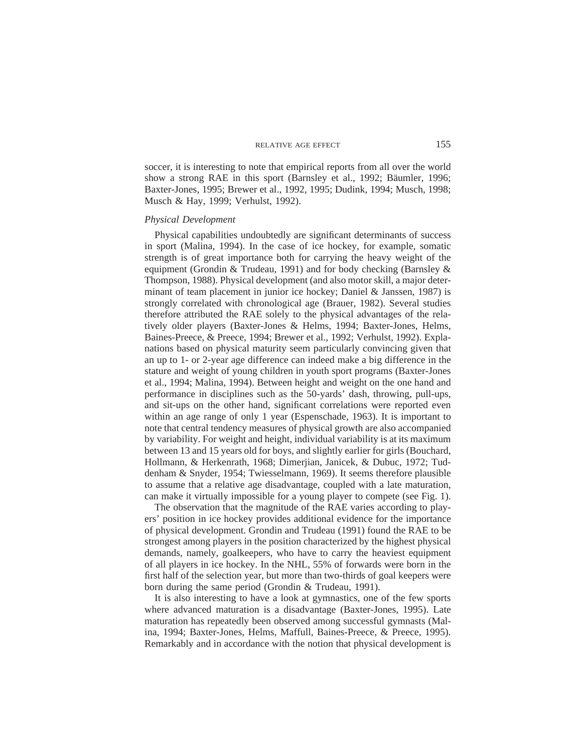soccer, it is interesting to note that empirical reports from all over the world show a strong RAE in this sport (Barnsley et al., 1992; Bäumler, 1996; Baxter-Jones, 1995; Brewer et al., 1992, 1995; Dudink, 1994; Musch, 1998; Musch & Hay, 1999; Verhulst, 1992).

# *Physical Development*

Physical capabilities undoubtedly are significant determinants of success in sport (Malina, 1994). In the case of ice hockey, for example, somatic strength is of great importance both for carrying the heavy weight of the equipment (Grondin & Trudeau, 1991) and for body checking (Barnsley & Thompson, 1988). Physical development (and also motor skill, a major determinant of team placement in junior ice hockey; Daniel & Janssen, 1987) is strongly correlated with chronological age (Brauer, 1982). Several studies therefore attributed the RAE solely to the physical advantages of the relatively older players (Baxter-Jones & Helms, 1994; Baxter-Jones, Helms, Baines-Preece, & Preece, 1994; Brewer et al., 1992; Verhulst, 1992). Explanations based on physical maturity seem particularly convincing given that an up to 1- or 2-year age difference can indeed make a big difference in the stature and weight of young children in youth sport programs (Baxter-Jones et al., 1994; Malina, 1994). Between height and weight on the one hand and performance in disciplines such as the 50-yards' dash, throwing, pull-ups, and sit-ups on the other hand, significant correlations were reported even within an age range of only 1 year (Espenschade, 1963). It is important to note that central tendency measures of physical growth are also accompanied by variability. For weight and height, individual variability is at its maximum between 13 and 15 years old for boys, and slightly earlier for girls (Bouchard, Hollmann, & Herkenrath, 1968; Dimerjian, Janicek, & Dubuc, 1972; Tuddenham & Snyder, 1954; Twiesselmann, 1969). It seems therefore plausible to assume that a relative age disadvantage, coupled with a late maturation, can make it virtually impossible for a young player to compete (see Fig. 1).

The observation that the magnitude of the RAE varies according to players' position in ice hockey provides additional evidence for the importance of physical development. Grondin and Trudeau (1991) found the RAE to be strongest among players in the position characterized by the highest physical demands, namely, goalkeepers, who have to carry the heaviest equipment of all players in ice hockey. In the NHL, 55% of forwards were born in the first half of the selection year, but more than two-thirds of goal keepers were born during the same period (Grondin & Trudeau, 1991).

It is also interesting to have a look at gymnastics, one of the few sports where advanced maturation is a disadvantage (Baxter-Jones, 1995). Late maturation has repeatedly been observed among successful gymnasts (Malina, 1994; Baxter-Jones, Helms, Maffull, Baines-Preece, & Preece, 1995). Remarkably and in accordance with the notion that physical development is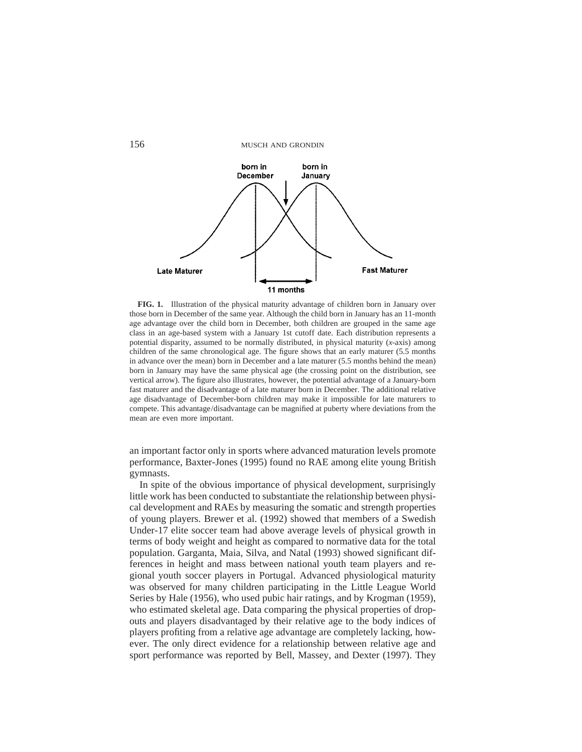

**FIG. 1.** Illustration of the physical maturity advantage of children born in January over those born in December of the same year. Although the child born in January has an 11-month age advantage over the child born in December, both children are grouped in the same age class in an age-based system with a January 1st cutoff date. Each distribution represents a potential disparity, assumed to be normally distributed, in physical maturity (*x*-axis) among children of the same chronological age. The figure shows that an early maturer (5.5 months in advance over the mean) born in December and a late maturer (5.5 months behind the mean) born in January may have the same physical age (the crossing point on the distribution, see vertical arrow). The figure also illustrates, however, the potential advantage of a January-born fast maturer and the disadvantage of a late maturer born in December. The additional relative age disadvantage of December-born children may make it impossible for late maturers to compete. This advantage/disadvantage can be magnified at puberty where deviations from the mean are even more important.

an important factor only in sports where advanced maturation levels promote performance, Baxter-Jones (1995) found no RAE among elite young British gymnasts.

In spite of the obvious importance of physical development, surprisingly little work has been conducted to substantiate the relationship between physical development and RAEs by measuring the somatic and strength properties of young players. Brewer et al. (1992) showed that members of a Swedish Under-17 elite soccer team had above average levels of physical growth in terms of body weight and height as compared to normative data for the total population. Garganta, Maia, Silva, and Natal (1993) showed significant differences in height and mass between national youth team players and regional youth soccer players in Portugal. Advanced physiological maturity was observed for many children participating in the Little League World Series by Hale (1956), who used pubic hair ratings, and by Krogman (1959), who estimated skeletal age. Data comparing the physical properties of dropouts and players disadvantaged by their relative age to the body indices of players profiting from a relative age advantage are completely lacking, however. The only direct evidence for a relationship between relative age and sport performance was reported by Bell, Massey, and Dexter (1997). They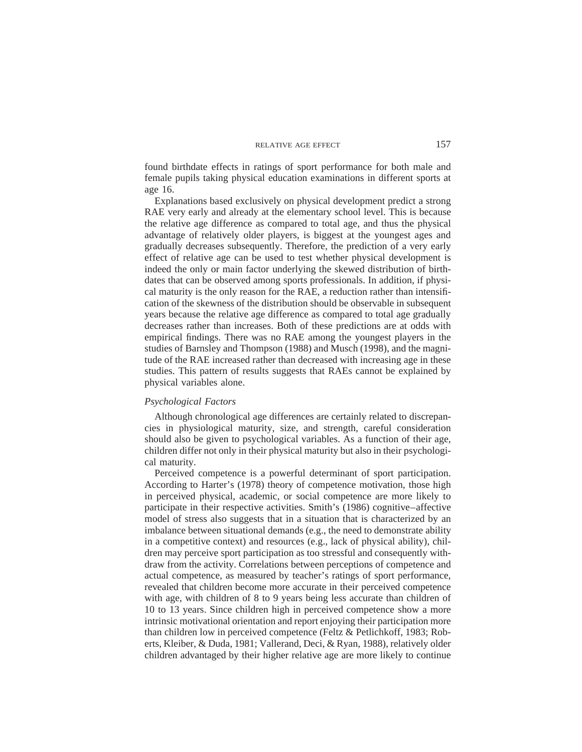found birthdate effects in ratings of sport performance for both male and female pupils taking physical education examinations in different sports at age 16.

Explanations based exclusively on physical development predict a strong RAE very early and already at the elementary school level. This is because the relative age difference as compared to total age, and thus the physical advantage of relatively older players, is biggest at the youngest ages and gradually decreases subsequently. Therefore, the prediction of a very early effect of relative age can be used to test whether physical development is indeed the only or main factor underlying the skewed distribution of birthdates that can be observed among sports professionals. In addition, if physical maturity is the only reason for the RAE, a reduction rather than intensification of the skewness of the distribution should be observable in subsequent years because the relative age difference as compared to total age gradually decreases rather than increases. Both of these predictions are at odds with empirical findings. There was no RAE among the youngest players in the studies of Barnsley and Thompson (1988) and Musch (1998), and the magnitude of the RAE increased rather than decreased with increasing age in these studies. This pattern of results suggests that RAEs cannot be explained by physical variables alone.

### *Psychological Factors*

Although chronological age differences are certainly related to discrepancies in physiological maturity, size, and strength, careful consideration should also be given to psychological variables. As a function of their age, children differ not only in their physical maturity but also in their psychological maturity.

Perceived competence is a powerful determinant of sport participation. According to Harter's (1978) theory of competence motivation, those high in perceived physical, academic, or social competence are more likely to participate in their respective activities. Smith's (1986) cognitive–affective model of stress also suggests that in a situation that is characterized by an imbalance between situational demands (e.g., the need to demonstrate ability in a competitive context) and resources (e.g., lack of physical ability), children may perceive sport participation as too stressful and consequently withdraw from the activity. Correlations between perceptions of competence and actual competence, as measured by teacher's ratings of sport performance, revealed that children become more accurate in their perceived competence with age, with children of 8 to 9 years being less accurate than children of 10 to 13 years. Since children high in perceived competence show a more intrinsic motivational orientation and report enjoying their participation more than children low in perceived competence (Feltz & Petlichkoff, 1983; Roberts, Kleiber, & Duda, 1981; Vallerand, Deci, & Ryan, 1988), relatively older children advantaged by their higher relative age are more likely to continue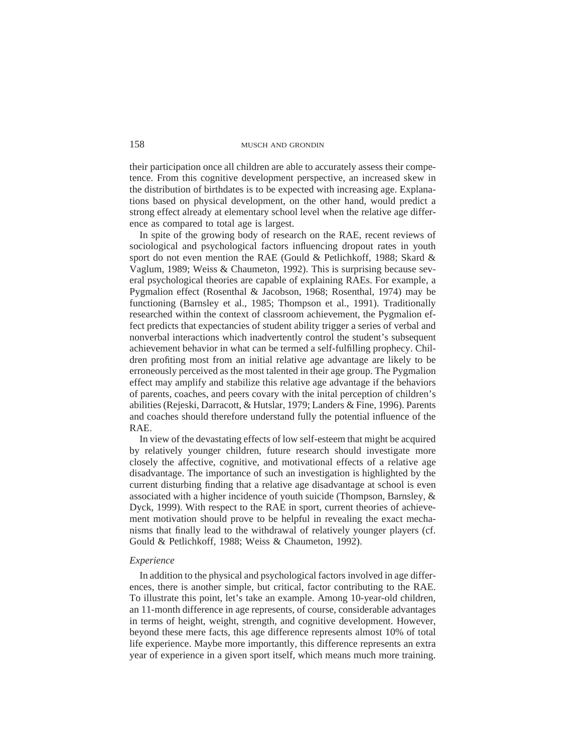their participation once all children are able to accurately assess their competence. From this cognitive development perspective, an increased skew in the distribution of birthdates is to be expected with increasing age. Explanations based on physical development, on the other hand, would predict a strong effect already at elementary school level when the relative age difference as compared to total age is largest.

In spite of the growing body of research on the RAE, recent reviews of sociological and psychological factors influencing dropout rates in youth sport do not even mention the RAE (Gould & Petlichkoff, 1988; Skard & Vaglum, 1989; Weiss & Chaumeton, 1992). This is surprising because several psychological theories are capable of explaining RAEs. For example, a Pygmalion effect (Rosenthal & Jacobson, 1968; Rosenthal, 1974) may be functioning (Barnsley et al., 1985; Thompson et al., 1991). Traditionally researched within the context of classroom achievement, the Pygmalion effect predicts that expectancies of student ability trigger a series of verbal and nonverbal interactions which inadvertently control the student's subsequent achievement behavior in what can be termed a self-fulfilling prophecy. Children profiting most from an initial relative age advantage are likely to be erroneously perceived as the most talented in their age group. The Pygmalion effect may amplify and stabilize this relative age advantage if the behaviors of parents, coaches, and peers covary with the inital perception of children's abilities (Rejeski, Darracott, & Hutslar, 1979; Landers & Fine, 1996). Parents and coaches should therefore understand fully the potential influence of the RAE.

In view of the devastating effects of low self-esteem that might be acquired by relatively younger children, future research should investigate more closely the affective, cognitive, and motivational effects of a relative age disadvantage. The importance of such an investigation is highlighted by the current disturbing finding that a relative age disadvantage at school is even associated with a higher incidence of youth suicide (Thompson, Barnsley, & Dyck, 1999). With respect to the RAE in sport, current theories of achievement motivation should prove to be helpful in revealing the exact mechanisms that finally lead to the withdrawal of relatively younger players (cf. Gould & Petlichkoff, 1988; Weiss & Chaumeton, 1992).

#### *Experience*

In addition to the physical and psychological factors involved in age differences, there is another simple, but critical, factor contributing to the RAE. To illustrate this point, let's take an example. Among 10-year-old children, an 11-month difference in age represents, of course, considerable advantages in terms of height, weight, strength, and cognitive development. However, beyond these mere facts, this age difference represents almost 10% of total life experience. Maybe more importantly, this difference represents an extra year of experience in a given sport itself, which means much more training.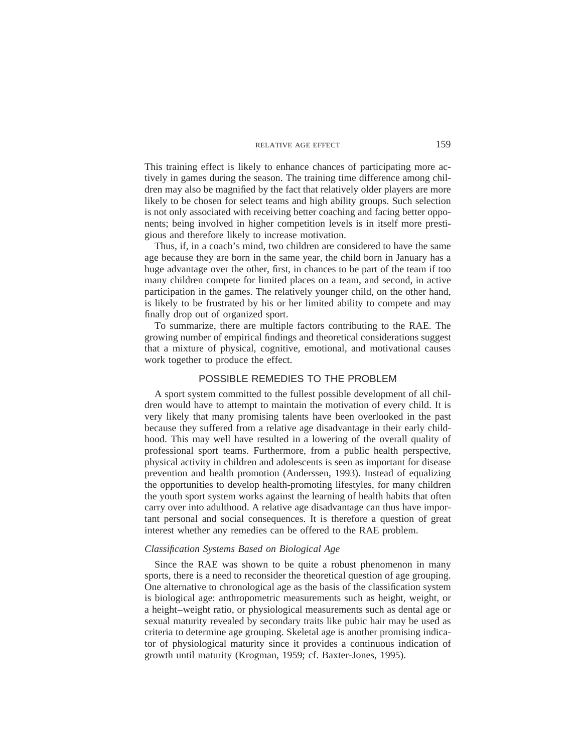This training effect is likely to enhance chances of participating more actively in games during the season. The training time difference among children may also be magnified by the fact that relatively older players are more likely to be chosen for select teams and high ability groups. Such selection is not only associated with receiving better coaching and facing better opponents; being involved in higher competition levels is in itself more prestigious and therefore likely to increase motivation.

Thus, if, in a coach's mind, two children are considered to have the same age because they are born in the same year, the child born in January has a huge advantage over the other, first, in chances to be part of the team if too many children compete for limited places on a team, and second, in active participation in the games. The relatively younger child, on the other hand, is likely to be frustrated by his or her limited ability to compete and may finally drop out of organized sport.

To summarize, there are multiple factors contributing to the RAE. The growing number of empirical findings and theoretical considerations suggest that a mixture of physical, cognitive, emotional, and motivational causes work together to produce the effect.

# POSSIBLE REMEDIES TO THE PROBLEM

A sport system committed to the fullest possible development of all children would have to attempt to maintain the motivation of every child. It is very likely that many promising talents have been overlooked in the past because they suffered from a relative age disadvantage in their early childhood. This may well have resulted in a lowering of the overall quality of professional sport teams. Furthermore, from a public health perspective, physical activity in children and adolescents is seen as important for disease prevention and health promotion (Anderssen, 1993). Instead of equalizing the opportunities to develop health-promoting lifestyles, for many children the youth sport system works against the learning of health habits that often carry over into adulthood. A relative age disadvantage can thus have important personal and social consequences. It is therefore a question of great interest whether any remedies can be offered to the RAE problem.

### *Classification Systems Based on Biological Age*

Since the RAE was shown to be quite a robust phenomenon in many sports, there is a need to reconsider the theoretical question of age grouping. One alternative to chronological age as the basis of the classification system is biological age: anthropometric measurements such as height, weight, or a height–weight ratio, or physiological measurements such as dental age or sexual maturity revealed by secondary traits like pubic hair may be used as criteria to determine age grouping. Skeletal age is another promising indicator of physiological maturity since it provides a continuous indication of growth until maturity (Krogman, 1959; cf. Baxter-Jones, 1995).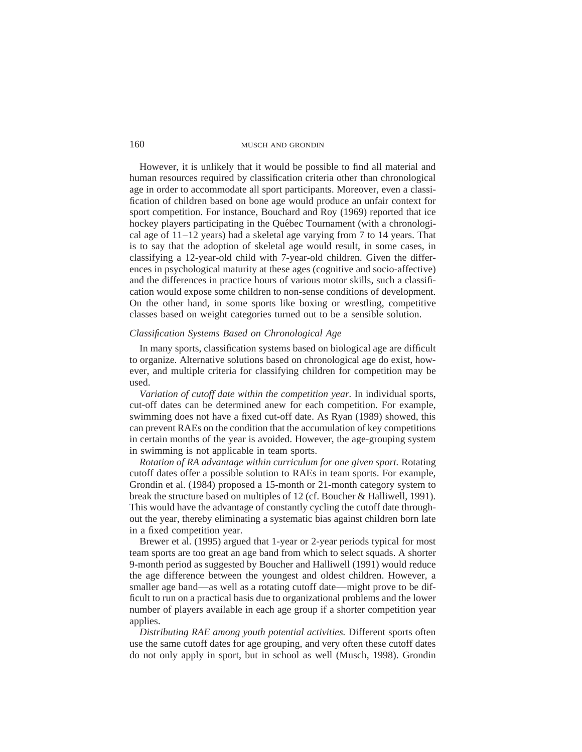However, it is unlikely that it would be possible to find all material and human resources required by classification criteria other than chronological age in order to accommodate all sport participants. Moreover, even a classification of children based on bone age would produce an unfair context for sport competition. For instance, Bouchard and Roy (1969) reported that ice hockey players participating in the Québec Tournament (with a chronological age of 11–12 years) had a skeletal age varying from 7 to 14 years. That is to say that the adoption of skeletal age would result, in some cases, in classifying a 12-year-old child with 7-year-old children. Given the differences in psychological maturity at these ages (cognitive and socio-affective) and the differences in practice hours of various motor skills, such a classification would expose some children to non-sense conditions of development. On the other hand, in some sports like boxing or wrestling, competitive classes based on weight categories turned out to be a sensible solution.

# *Classification Systems Based on Chronological Age*

In many sports, classification systems based on biological age are difficult to organize. Alternative solutions based on chronological age do exist, however, and multiple criteria for classifying children for competition may be used.

*Variation of cutoff date within the competition year.* In individual sports, cut-off dates can be determined anew for each competition. For example, swimming does not have a fixed cut-off date. As Ryan (1989) showed, this can prevent RAEs on the condition that the accumulation of key competitions in certain months of the year is avoided. However, the age-grouping system in swimming is not applicable in team sports.

*Rotation of RA advantage within curriculum for one given sport.* Rotating cutoff dates offer a possible solution to RAEs in team sports. For example, Grondin et al. (1984) proposed a 15-month or 21-month category system to break the structure based on multiples of 12 (cf. Boucher & Halliwell, 1991). This would have the advantage of constantly cycling the cutoff date throughout the year, thereby eliminating a systematic bias against children born late in a fixed competition year.

Brewer et al. (1995) argued that 1-year or 2-year periods typical for most team sports are too great an age band from which to select squads. A shorter 9-month period as suggested by Boucher and Halliwell (1991) would reduce the age difference between the youngest and oldest children. However, a smaller age band—as well as a rotating cutoff date—might prove to be difficult to run on a practical basis due to organizational problems and the lower number of players available in each age group if a shorter competition year applies.

*Distributing RAE among youth potential activities.* Different sports often use the same cutoff dates for age grouping, and very often these cutoff dates do not only apply in sport, but in school as well (Musch, 1998). Grondin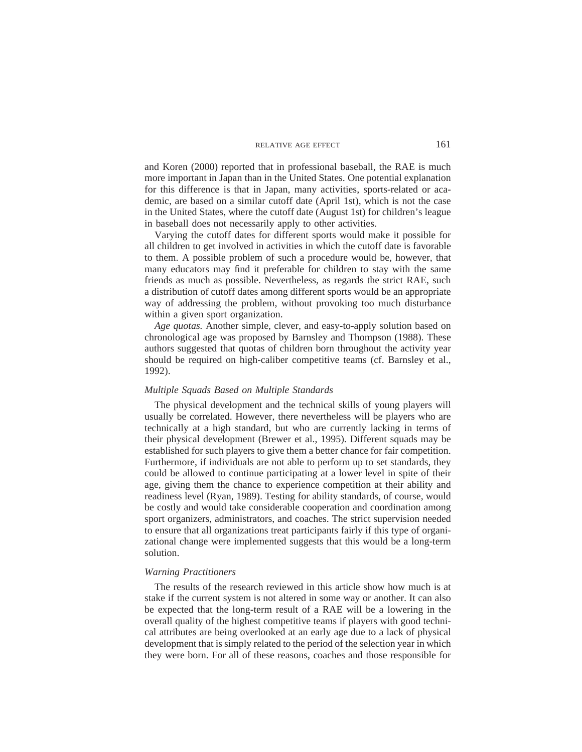and Koren (2000) reported that in professional baseball, the RAE is much more important in Japan than in the United States. One potential explanation for this difference is that in Japan, many activities, sports-related or academic, are based on a similar cutoff date (April 1st), which is not the case in the United States, where the cutoff date (August 1st) for children's league in baseball does not necessarily apply to other activities.

Varying the cutoff dates for different sports would make it possible for all children to get involved in activities in which the cutoff date is favorable to them. A possible problem of such a procedure would be, however, that many educators may find it preferable for children to stay with the same friends as much as possible. Nevertheless, as regards the strict RAE, such a distribution of cutoff dates among different sports would be an appropriate way of addressing the problem, without provoking too much disturbance within a given sport organization.

*Age quotas.* Another simple, clever, and easy-to-apply solution based on chronological age was proposed by Barnsley and Thompson (1988). These authors suggested that quotas of children born throughout the activity year should be required on high-caliber competitive teams (cf. Barnsley et al., 1992).

### *Multiple Squads Based on Multiple Standards*

The physical development and the technical skills of young players will usually be correlated. However, there nevertheless will be players who are technically at a high standard, but who are currently lacking in terms of their physical development (Brewer et al., 1995). Different squads may be established for such players to give them a better chance for fair competition. Furthermore, if individuals are not able to perform up to set standards, they could be allowed to continue participating at a lower level in spite of their age, giving them the chance to experience competition at their ability and readiness level (Ryan, 1989). Testing for ability standards, of course, would be costly and would take considerable cooperation and coordination among sport organizers, administrators, and coaches. The strict supervision needed to ensure that all organizations treat participants fairly if this type of organizational change were implemented suggests that this would be a long-term solution.

#### *Warning Practitioners*

The results of the research reviewed in this article show how much is at stake if the current system is not altered in some way or another. It can also be expected that the long-term result of a RAE will be a lowering in the overall quality of the highest competitive teams if players with good technical attributes are being overlooked at an early age due to a lack of physical development that is simply related to the period of the selection year in which they were born. For all of these reasons, coaches and those responsible for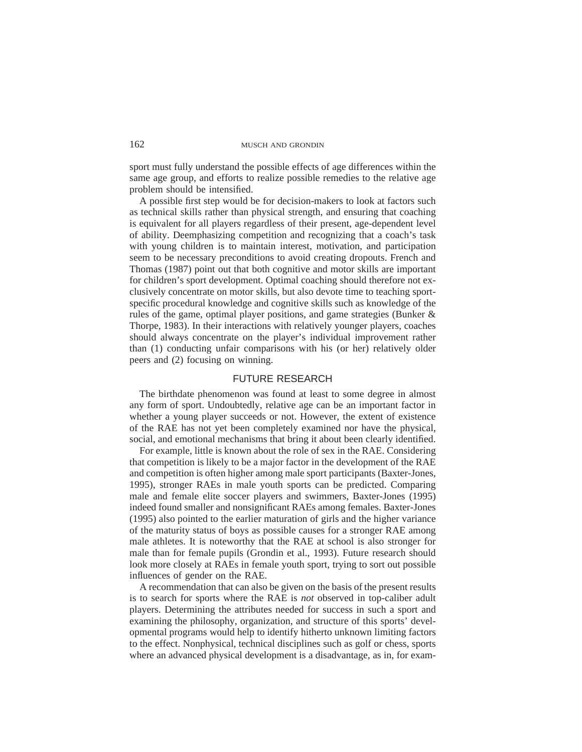sport must fully understand the possible effects of age differences within the same age group, and efforts to realize possible remedies to the relative age problem should be intensified.

A possible first step would be for decision-makers to look at factors such as technical skills rather than physical strength, and ensuring that coaching is equivalent for all players regardless of their present, age-dependent level of ability. Deemphasizing competition and recognizing that a coach's task with young children is to maintain interest, motivation, and participation seem to be necessary preconditions to avoid creating dropouts. French and Thomas (1987) point out that both cognitive and motor skills are important for children's sport development. Optimal coaching should therefore not exclusively concentrate on motor skills, but also devote time to teaching sportspecific procedural knowledge and cognitive skills such as knowledge of the rules of the game, optimal player positions, and game strategies (Bunker & Thorpe, 1983). In their interactions with relatively younger players, coaches should always concentrate on the player's individual improvement rather than (1) conducting unfair comparisons with his (or her) relatively older peers and (2) focusing on winning.

# FUTURE RESEARCH

The birthdate phenomenon was found at least to some degree in almost any form of sport. Undoubtedly, relative age can be an important factor in whether a young player succeeds or not. However, the extent of existence of the RAE has not yet been completely examined nor have the physical, social, and emotional mechanisms that bring it about been clearly identified.

For example, little is known about the role of sex in the RAE. Considering that competition is likely to be a major factor in the development of the RAE and competition is often higher among male sport participants (Baxter-Jones, 1995), stronger RAEs in male youth sports can be predicted. Comparing male and female elite soccer players and swimmers, Baxter-Jones (1995) indeed found smaller and nonsignificant RAEs among females. Baxter-Jones (1995) also pointed to the earlier maturation of girls and the higher variance of the maturity status of boys as possible causes for a stronger RAE among male athletes. It is noteworthy that the RAE at school is also stronger for male than for female pupils (Grondin et al., 1993). Future research should look more closely at RAEs in female youth sport, trying to sort out possible influences of gender on the RAE.

A recommendation that can also be given on the basis of the present results is to search for sports where the RAE is *not* observed in top-caliber adult players. Determining the attributes needed for success in such a sport and examining the philosophy, organization, and structure of this sports' developmental programs would help to identify hitherto unknown limiting factors to the effect. Nonphysical, technical disciplines such as golf or chess, sports where an advanced physical development is a disadvantage, as in, for exam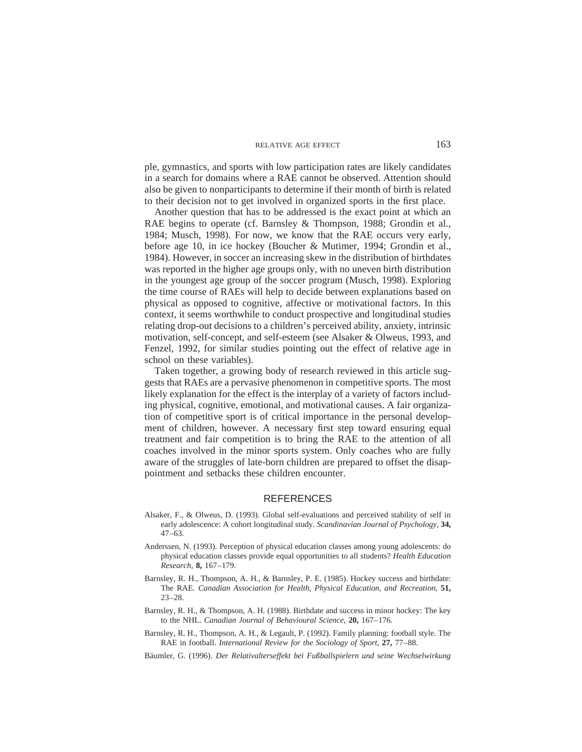ple, gymnastics, and sports with low participation rates are likely candidates in a search for domains where a RAE cannot be observed. Attention should also be given to nonparticipants to determine if their month of birth is related to their decision not to get involved in organized sports in the first place.

Another question that has to be addressed is the exact point at which an RAE begins to operate (cf. Barnsley & Thompson, 1988; Grondin et al., 1984; Musch, 1998). For now, we know that the RAE occurs very early, before age 10, in ice hockey (Boucher & Mutimer, 1994; Grondin et al., 1984). However, in soccer an increasing skew in the distribution of birthdates was reported in the higher age groups only, with no uneven birth distribution in the youngest age group of the soccer program (Musch, 1998). Exploring the time course of RAEs will help to decide between explanations based on physical as opposed to cognitive, affective or motivational factors. In this context, it seems worthwhile to conduct prospective and longitudinal studies relating drop-out decisions to a children's perceived ability, anxiety, intrinsic motivation, self-concept, and self-esteem (see Alsaker & Olweus, 1993, and Fenzel, 1992, for similar studies pointing out the effect of relative age in school on these variables).

Taken together, a growing body of research reviewed in this article suggests that RAEs are a pervasive phenomenon in competitive sports. The most likely explanation for the effect is the interplay of a variety of factors including physical, cognitive, emotional, and motivational causes. A fair organization of competitive sport is of critical importance in the personal development of children, however. A necessary first step toward ensuring equal treatment and fair competition is to bring the RAE to the attention of all coaches involved in the minor sports system. Only coaches who are fully aware of the struggles of late-born children are prepared to offset the disappointment and setbacks these children encounter.

### **REFERENCES**

- Alsaker, F., & Olweus, D. (1993). Global self-evaluations and perceived stability of self in early adolescence: A cohort longitudinal study. *Scandinavian Journal of Psychology,* **34,** 47–63.
- Anderssen, N. (1993). Perception of physical education classes among young adolescents: do physical education classes provide equal opportunities to all students? *Health Education Research,* **8,** 167–179.
- Barnsley, R. H., Thompson, A. H., & Barnsley, P. E. (1985). Hockey success and birthdate: The RAE. *Canadian Association for Health, Physical Education, and Recreation,* **51,** 23–28.
- Barnsley, R. H., & Thompson, A. H. (1988). Birthdate and success in minor hockey: The key to the NHL. *Canadian Journal of Behavioural Science,* **20,** 167–176.
- Barnsley, R. H., Thompson, A. H., & Legault, P. (1992). Family planning: football style. The RAE in football. *International Review for the Sociology of Sport,* **27,** 77–88.
- Bäumler, G. (1996). *Der Relativalterseffekt bei Fußballspielern und seine Wechselwirkung*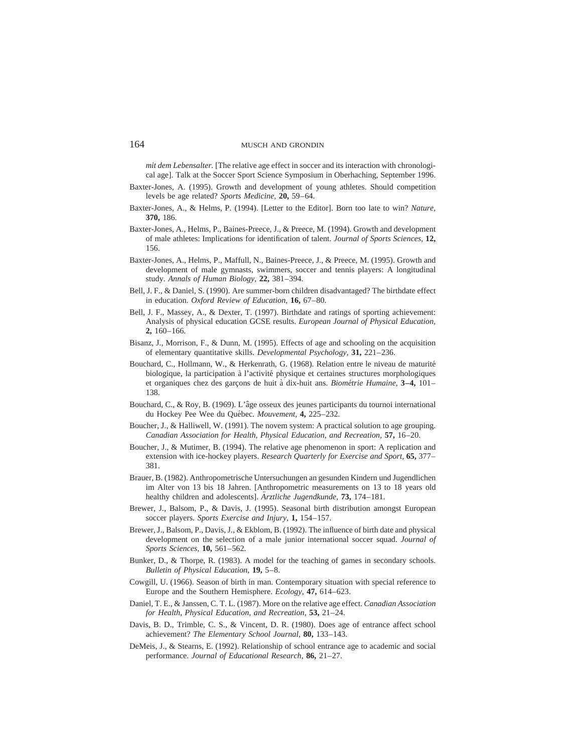*mit dem Lebensalter.* [The relative age effect in soccer and its interaction with chronological age]. Talk at the Soccer Sport Science Symposium in Oberhaching, September 1996.

- Baxter-Jones, A. (1995). Growth and development of young athletes. Should competition levels be age related? *Sports Medicine,* **20,** 59–64.
- Baxter-Jones, A., & Helms, P. (1994). [Letter to the Editor]. Born too late to win? *Nature,* **370,** 186.
- Baxter-Jones, A., Helms, P., Baines-Preece, J., & Preece, M. (1994). Growth and development of male athletes: Implications for identification of talent. *Journal of Sports Sciences,* **12,** 156.
- Baxter-Jones, A., Helms, P., Maffull, N., Baines-Preece, J., & Preece, M. (1995). Growth and development of male gymnasts, swimmers, soccer and tennis players: A longitudinal study. *Annals of Human Biology,* **22,** 381–394.
- Bell, J. F., & Daniel, S. (1990). Are summer-born children disadvantaged? The birthdate effect in education. *Oxford Review of Education,* **16,** 67–80.
- Bell, J. F., Massey, A., & Dexter, T. (1997). Birthdate and ratings of sporting achievement: Analysis of physical education GCSE results. *European Journal of Physical Education,* **2,** 160–166.
- Bisanz, J., Morrison, F., & Dunn, M. (1995). Effects of age and schooling on the acquisition of elementary quantitative skills. *Developmental Psychology,* **31,** 221–236.
- Bouchard, C., Hollmann, W., & Herkenrath, G. (1968). Relation entre le niveau de maturité biologique, la participation à l'activité physique et certaines structures morphologiques et organiques chez des garçons de huit à dix-huit ans. *Biométrie Humaine*, 3-4, 101-138.
- Bouchard, C., & Roy, B. (1969). L'âge osseux des jeunes participants du tournoi international du Hockey Pee Wee du Que´bec. *Mouvement,* **4,** 225–232.
- Boucher, J., & Halliwell, W. (1991). The novem system: A practical solution to age grouping. *Canadian Association for Health, Physical Education, and Recreation,* **57,** 16–20.
- Boucher, J., & Mutimer, B. (1994). The relative age phenomenon in sport: A replication and extension with ice-hockey players. *Research Quarterly for Exercise and Sport,* **65,** 377– 381.
- Brauer, B. (1982). Anthropometrische Untersuchungen an gesunden Kindern und Jugendlichen im Alter von 13 bis 18 Jahren. [Anthropometric measurements on 13 to 18 years old healthy children and adolescents]. *A¨rztliche Jugendkunde,* **73,** 174–181.
- Brewer, J., Balsom, P., & Davis, J. (1995). Seasonal birth distribution amongst European soccer players. *Sports Exercise and Injury,* **1,** 154–157.
- Brewer, J., Balsom, P., Davis, J., & Ekblom, B. (1992). The influence of birth date and physical development on the selection of a male junior international soccer squad. *Journal of Sports Sciences,* **10,** 561–562.
- Bunker, D., & Thorpe, R. (1983). A model for the teaching of games in secondary schools. *Bulletin of Physical Education,* **19,** 5–8.
- Cowgill, U. (1966). Season of birth in man. Contemporary situation with special reference to Europe and the Southern Hemisphere. *Ecology,* **47,** 614–623.
- Daniel, T. E., & Janssen, C. T. L. (1987). More on the relative age effect. *Canadian Association for Health, Physical Education, and Recreation,* **53,** 21–24.
- Davis, B. D., Trimble, C. S., & Vincent, D. R. (1980). Does age of entrance affect school achievement? *The Elementary School Journal,* **80,** 133–143.
- DeMeis, J., & Stearns, E. (1992). Relationship of school entrance age to academic and social performance. *Journal of Educational Research,* **86,** 21–27.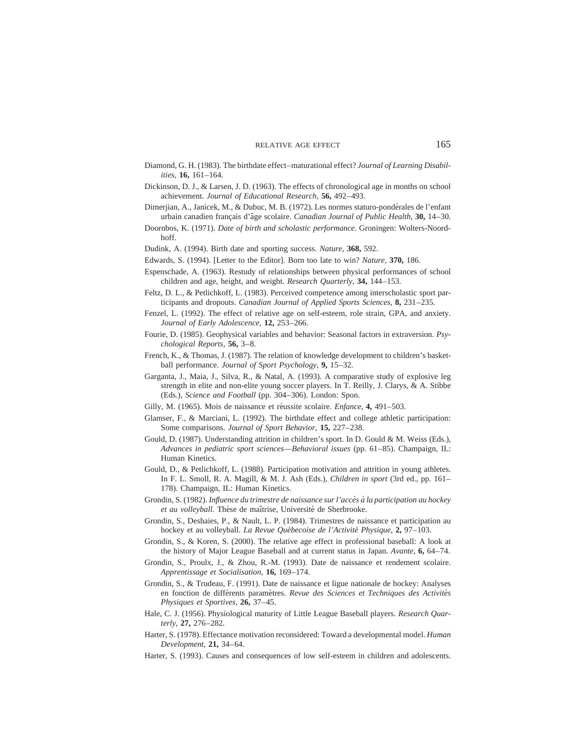- Diamond, G. H. (1983). The birthdate effect–maturational effect? *Journal of Learning Disabilities,* **16,** 161–164.
- Dickinson, D. J., & Larsen, J. D. (1963). The effects of chronological age in months on school achievement. *Journal of Educational Research,* **56,** 492–493.
- Dimerjian, A., Janicek, M., & Dubuc, M. B. (1972). Les normes staturo-pondérales de l'enfant urbain canadien francais d'âge scolaire. *Canadian Journal of Public Health*, **30,** 14–30.
- Doornbos, K. (1971). *Date of birth and scholastic performance.* Groningen: Wolters-Noordhoff.
- Dudink, A. (1994). Birth date and sporting success. *Nature,* **368,** 592.
- Edwards, S. (1994). [Letter to the Editor]. Born too late to win? *Nature,* **370,** 186.
- Espenschade, A. (1963). Restudy of relationships between physical performances of school children and age, height, and weight. *Research Quarterly,* **34,** 144–153.
- Feltz, D. L., & Petlichkoff, L. (1983). Perceived competence among interscholastic sport participants and dropouts. *Canadian Journal of Applied Sports Sciences,* **8,** 231–235.
- Fenzel, L. (1992). The effect of relative age on self-esteem, role strain, GPA, and anxiety. *Journal of Early Adolescence,* **12,** 253–266.
- Fourie, D. (1985). Geophysical variables and behavior: Seasonal factors in extraversion. *Psychological Reports,* **56,** 3–8.
- French, K., & Thomas, J. (1987). The relation of knowledge development to children's basketball performance. *Journal of Sport Psychology,* **9,** 15–32.
- Garganta, J., Maia, J., Silva, R., & Natal, A. (1993). A comparative study of explosive leg strength in elite and non-elite young soccer players. In T. Reilly, J. Clarys, & A. Stibbe (Eds.), *Science and Football* (pp. 304–306). London: Spon.
- Gilly, M. (1965). Mois de naissance et réussite scolaire. *Enfance*, **4**, 491–503.
- Glamser, F., & Marciani, L. (1992). The birthdate effect and college athletic participation: Some comparisons. *Journal of Sport Behavior,* **15,** 227–238.
- Gould, D. (1987). Understanding attrition in children's sport. In D. Gould & M. Weiss (Eds.), *Advances in pediatric sport sciences—Behavioral issues* (pp. 61–85). Champaign, IL: Human Kinetics.
- Gould, D., & Petlichkoff, L. (1988). Participation motivation and attrition in young athletes. In F. L. Smoll, R. A. Magill, & M. J. Ash (Eds.), *Children in sport* (3rd ed., pp. 161– 178). Champaign, IL: Human Kinetics.
- Grondin, S. (1982). *Influence du trimestre de naissance sur l'acce`s a` la participation au hockey* et au volleyball. Thèse de maîtrise, Université de Sherbrooke.
- Grondin, S., Deshaies, P., & Nault, L. P. (1984). Trimestres de naissance et participation au hockey et au volleyball. *La Revue Québecoise de l'Activité Physique*, 2, 97-103.
- Grondin, S., & Koren, S. (2000). The relative age effect in professional baseball: A look at the history of Major League Baseball and at current status in Japan. *Avante,* **6,** 64–74.
- Grondin, S., Proulx, J., & Zhou, R.-M. (1993). Date de naissance et rendement scolaire. *Apprentissage et Socialisation,* **16,** 169–174.
- Grondin, S., & Trudeau, F. (1991). Date de naissance et ligue nationale de hockey: Analyses en fonction de différents paramètres. Revue des Sciences et Techniques des Activités *Physiques et Sportives,* **26,** 37–45.
- Hale, C. J. (1956). Physiological maturity of Little League Baseball players. *Research Quarterly,* **27,** 276–282.
- Harter, S. (1978). Effectance motivation reconsidered: Toward a developmental model. *Human Development,* **21,** 34–64.
- Harter, S. (1993). Causes and consequences of low self-esteem in children and adolescents.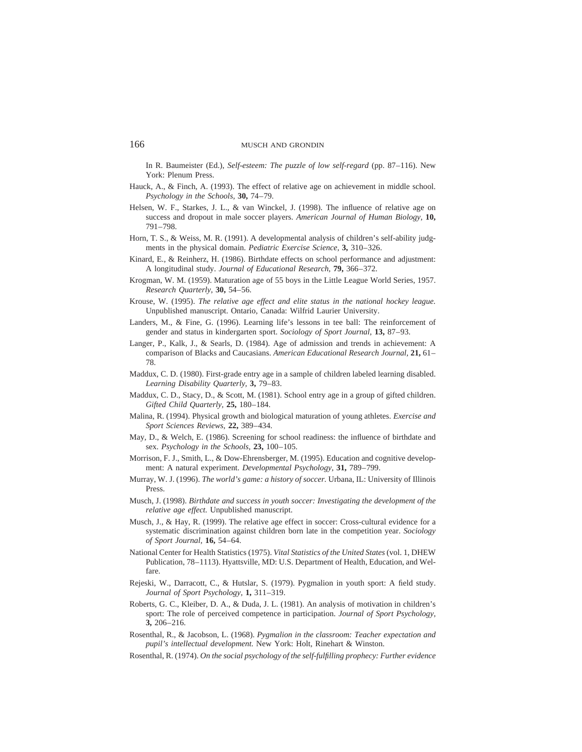In R. Baumeister (Ed.), *Self-esteem: The puzzle of low self-regard* (pp. 87–116). New York: Plenum Press.

- Hauck, A., & Finch, A. (1993). The effect of relative age on achievement in middle school. *Psychology in the Schools,* **30,** 74–79.
- Helsen, W. F., Starkes, J. L., & van Winckel, J. (1998). The influence of relative age on success and dropout in male soccer players. *American Journal of Human Biology,* **10,** 791–798.
- Horn, T. S., & Weiss, M. R. (1991). A developmental analysis of children's self-ability judgments in the physical domain. *Pediatric Exercise Science,* **3,** 310–326.
- Kinard, E., & Reinherz, H. (1986). Birthdate effects on school performance and adjustment: A longitudinal study. *Journal of Educational Research,* **79,** 366–372.
- Krogman, W. M. (1959). Maturation age of 55 boys in the Little League World Series, 1957. *Research Quarterly,* **30,** 54–56.
- Krouse, W. (1995). *The relative age effect and elite status in the national hockey league.* Unpublished manuscript. Ontario, Canada: Wilfrid Laurier University.
- Landers, M., & Fine, G. (1996). Learning life's lessons in tee ball: The reinforcement of gender and status in kindergarten sport. *Sociology of Sport Journal,* **13,** 87–93.
- Langer, P., Kalk, J., & Searls, D. (1984). Age of admission and trends in achievement: A comparison of Blacks and Caucasians. *American Educational Research Journal,* **21,** 61– 78.
- Maddux, C. D. (1980). First-grade entry age in a sample of children labeled learning disabled. *Learning Disability Quarterly,* **3,** 79–83.
- Maddux, C. D., Stacy, D., & Scott, M. (1981). School entry age in a group of gifted children. *Gifted Child Quarterly,* **25,** 180–184.
- Malina, R. (1994). Physical growth and biological maturation of young athletes. *Exercise and Sport Sciences Reviews,* **22,** 389–434.
- May, D., & Welch, E. (1986). Screening for school readiness: the influence of birthdate and sex. *Psychology in the Schools,* **23,** 100–105.
- Morrison, F. J., Smith, L., & Dow-Ehrensberger, M. (1995). Education and cognitive development: A natural experiment. *Developmental Psychology,* **31,** 789–799.
- Murray, W. J. (1996). *The world's game: a history of soccer.* Urbana, IL: University of Illinois Press.
- Musch, J. (1998). *Birthdate and success in youth soccer: Investigating the development of the relative age effect.* Unpublished manuscript.
- Musch, J., & Hay, R. (1999). The relative age effect in soccer: Cross-cultural evidence for a systematic discrimination against children born late in the competition year. *Sociology of Sport Journal,* **16,** 54–64.
- National Center for Health Statistics (1975). *Vital Statistics of the United States* (vol. 1, DHEW Publication, 78–1113). Hyattsville, MD: U.S. Department of Health, Education, and Welfare.
- Rejeski, W., Darracott, C., & Hutslar, S. (1979). Pygmalion in youth sport: A field study. *Journal of Sport Psychology,* **1,** 311–319.
- Roberts, G. C., Kleiber, D. A., & Duda, J. L. (1981). An analysis of motivation in children's sport: The role of perceived competence in participation. *Journal of Sport Psychology,* **3,** 206–216.
- Rosenthal, R., & Jacobson, L. (1968). *Pygmalion in the classroom: Teacher expectation and pupil's intellectual development.* New York: Holt, Rinehart & Winston.
- Rosenthal, R. (1974). *On the social psychology of the self-fulfilling prophecy: Further evidence*